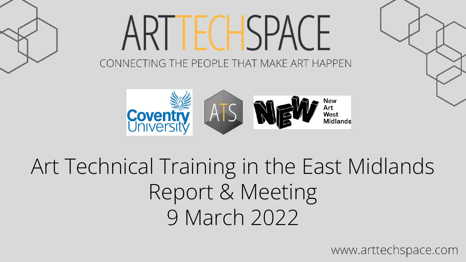

# ARI I FCHSPACH CONNECTING THE PEOPLE THAT MAKE ART HAPPEN



Art Technical Training in the East Midlands Report & Meeting 9 March 2022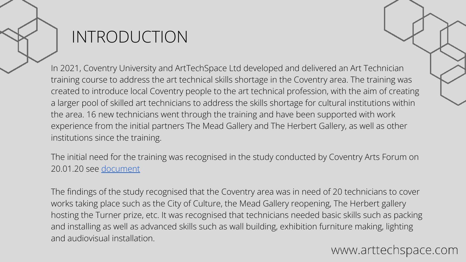### INTRODUCTION

In 2021, [Coventry University](https://www.coventry.ac.uk/study-at-coventry/faculties-and-schools/arts-and-humanities/) and [ArtTechSpace Ltd](https://www.arttechspace.com/) developed and delivered an Art Technician training course to address the art technical skills shortage in the Coventry area. The training was created to introduce local Coventry people to the art technical profession, with the aim of creating a larger pool of skilled art technicians to address the skills shortage for cultural institutions within the area. 16 new technicians went through the training and have been supported with work experience from the initial partners The Mead Gallery and The Herbert Gallery, as well as other institutions since the training.

The initial need for the training was recognised in the study conducted by Coventry Arts Forum on 20.01.20 see [document](https://drive.google.com/open?id=1DZVY9jFTCsfzlOOCbJf0pUD9xOKV23wX)

The findings of the study recognised that the Coventry area was in need of 20 technicians to cover works taking place such as the City of Culture, the Mead Gallery reopening, The Herbert gallery hosting the Turner prize, etc. It was recognised that technicians needed basic skills such as packing and installing as well as advanced skills such as wall building, exhibition furniture making, lighting and audiovisual installation.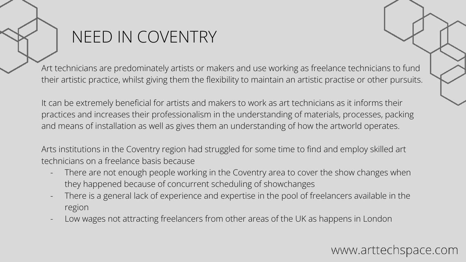### NEED IN COVENTRY

Art technicians are predominately artists or makers and use working as freelance technicians to fund their artistic practice, whilst giving them the flexibility to maintain an artistic practise or other pursuits.

It can be extremely beneficial for artists and makers to work as art technicians as it informs their practices and increases their professionalism in the understanding of materials, processes, packing and means of installation as well as gives them an understanding of how the artworld operates.

Arts institutions in the Coventry region had struggled for some time to find and employ skilled art technicians on a freelance basis because

- There are not enough people working in the Coventry area to cover the show changes when they happened because of concurrent scheduling of showchanges
- There is a general lack of experience and expertise in the pool of freelancers available in the region
- Low wages not attracting freelancers from other areas of the UK as happens in London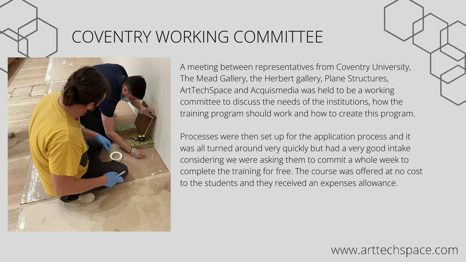### COVENTRY WORKING COMMITTEE



A meeting between representatives from Coventry University, The Mead Gallery, the Herbert gallery, Plane Structures, ArtTechSpace and Acquismedia was held to be a working committee to discuss the needs of the institutions, how the training program should work and how to create this program.

Processes were then set up for the application process and it was all turned around very quickly but had a very good intake considering we were asking them to commit a whole week to complete the training for free. The course was offered at no cost to the students and they received an expenses allowance.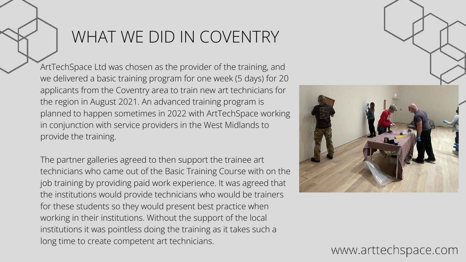## WHAT WE DID IN COVENTRY

ArtTechSpace Ltd was chosen as the provider of the training, and we delivered a basic training program for one week (5 days) for 20 applicants from the Coventry area to train new art technicians for the region in August 2021. An advanced training program is planned to happen sometimes in 2022 with ArtTechSpace working in conjunction with service providers in the West Midlands to provide the training.

The partner galleries agreed to then support the trainee art technicians who came out of the Basic Training Course with on the job training by providing paid work experience. It was agreed that the institutions would provide technicians who would be trainers for these students so they would present best practice when working in their institutions. Without the support of the local institutions it was pointless doing the training as it takes such a long time to create competent art technicians.

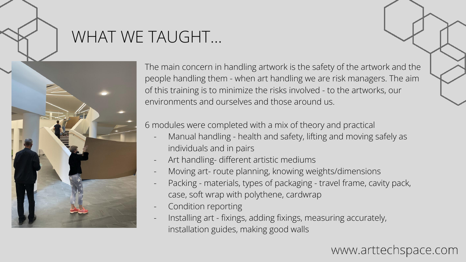### WHAT WE TAUGHT…



The main concern in handling artwork is the safety of the artwork and the people handling them - when art handling we are risk managers. The aim of this training is to minimize the risks involved - to the artworks, our environments and ourselves and those around us.

6 modules were completed with a mix of theory and practical

- Manual handling health and safety, lifting and moving safely as individuals and in pairs
- Art handling- different artistic mediums
- Moving art- route planning, knowing weights/dimensions
- Packing materials, types of packaging travel frame, cavity pack, case, soft wrap with polythene, cardwrap
- Condition reporting
- Installing art fixings, adding fixings, measuring accurately, installation guides, making good walls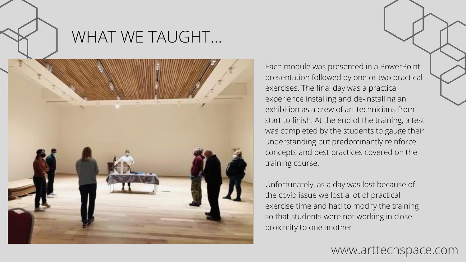

### WHAT WE TAUGHT…



Each module was presented in a PowerPoint presentation followed by one or two practical exercises. The final day was a practical experience installing and de-installing an exhibition as a crew of art technicians from start to finish. At the end of the training, a test was completed by the students to gauge their understanding but predominantly reinforce concepts and best practices covered on the training course.

Unfortunately, as a day was lost because of the covid issue we lost a lot of practical exercise time and had to modify the training so that students were not working in close proximity to one another.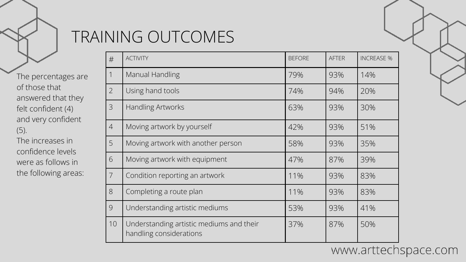

### TRAINING OUTCOMES

The percentages are of those that answered that they felt confident (4) and very confident (5). The increases in confidence levels were as follows in the following areas:

| #              | <b>ACTIVITY</b>                                                     | <b>BEFORE</b> | <b>AFTER</b> | <b>INCREASE %</b> |
|----------------|---------------------------------------------------------------------|---------------|--------------|-------------------|
| $\mathbf 1$    | Manual Handling                                                     | 79%           | 93%          | 14%               |
| $\overline{2}$ | Using hand tools                                                    | 74%           | 94%          | 20%               |
| 3              | <b>Handling Artworks</b>                                            | 63%           | 93%          | 30%               |
| $\overline{4}$ | Moving artwork by yourself                                          | 42%           | 93%          | 51%               |
| 5              | Moving artwork with another person                                  | 58%           | 93%          | 35%               |
| 6              | Moving artwork with equipment                                       | 47%           | 87%          | 39%               |
| $\overline{7}$ | Condition reporting an artwork                                      | 11%           | 93%          | 83%               |
| 8              | Completing a route plan                                             | 11%           | 93%          | 83%               |
| 9              | Understanding artistic mediums                                      | 53%           | 93%          | 41%               |
| 10             | Understanding artistic mediums and their<br>handling considerations | 37%           | 87%          | 50%               |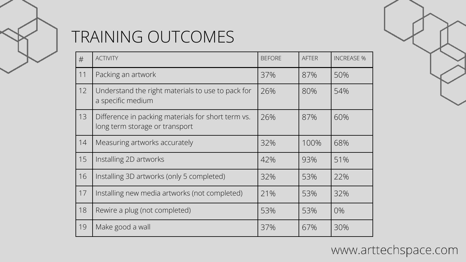

## TRAINING OUTCOMES

| #  | <b>ACTIVITY</b>                                                                      | <b>BEFORE</b> | <b>AFTER</b> | <b>INCREASE %</b> |
|----|--------------------------------------------------------------------------------------|---------------|--------------|-------------------|
| 11 | Packing an artwork                                                                   | 37%           | 87%          | 50%               |
| 12 | Understand the right materials to use to pack for<br>a specific medium               | 26%           | 80%          | 54%               |
| 13 | Difference in packing materials for short term vs.<br>long term storage or transport | 26%           | 87%          | 60%               |
| 14 | Measuring artworks accurately                                                        | 32%           | 100%         | 68%               |
| 15 | Installing 2D artworks                                                               | 42%           | 93%          | 51%               |
| 16 | Installing 3D artworks (only 5 completed)                                            | 32%           | 53%          | 22%               |
| 17 | Installing new media artworks (not completed)                                        | 21%           | 53%          | 32%               |
| 18 | Rewire a plug (not completed)                                                        | 53%           | 53%          | 0%                |
| 19 | Make good a wall                                                                     | 37%           | 67%          | 30%               |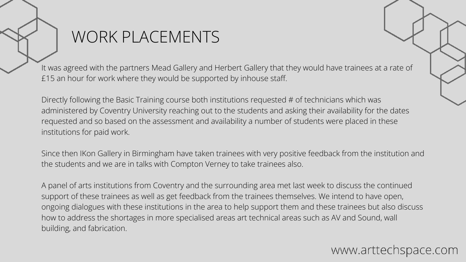### WORK PLACEMENTS

It was agreed with the partners Mead Gallery and Herbert Gallery that they would have trainees at a rate of £15 an hour for work where they would be supported by inhouse staff.

Directly following the Basic Training course both institutions requested # of technicians which was administered by Coventry University reaching out to the students and asking their availability for the dates requested and so based on the assessment and availability a number of students were placed in these institutions for paid work.

Since then IKon Gallery in Birmingham have taken trainees with very positive feedback from the institution and the students and we are in talks with Compton Verney to take trainees also.

A panel of arts institutions from Coventry and the surrounding area met last week to discuss the continued support of these trainees as well as get feedback from the trainees themselves. We intend to have open, ongoing dialogues with these institutions in the area to help support them and these trainees but also discuss how to address the shortages in more specialised areas art technical areas such as AV and Sound, wall building, and fabrication.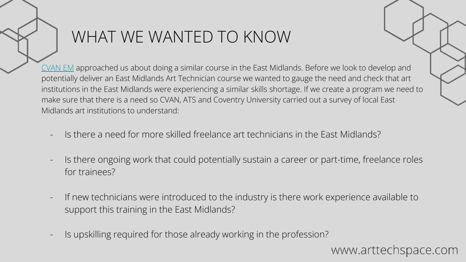## WHAT WE WANTED TO KNOW

[CVAN EM](https://cvaneastmidlands.co.uk/) approached us about doing a similar course in the East Midlands. Before we look to develop and potentially deliver an East Midlands Art Technician course we wanted to gauge the need and check that art institutions in the East Midlands were experiencing a similar skills shortage. If we create a program we need to make sure that there is a need so CVAN, ATS and Coventry University carried out a survey of local East Midlands art institutions to understand:

- Is there a need for more skilled freelance art technicians in the East Midlands?
- Is there ongoing work that could potentially sustain a career or part-time, freelance roles for trainees?
- If new technicians were introduced to the industry is there work experience available to support this training in the East Midlands?
- Is upskilling required for those already working in the profession?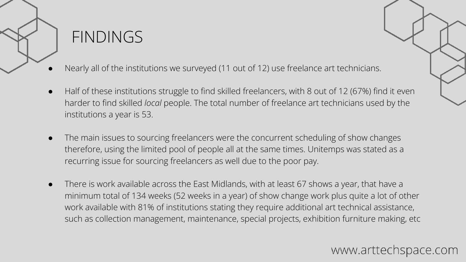

### FINDINGS

- Nearly all of the institutions we surveyed (11 out of 12) use freelance art technicians.
- Half of these institutions struggle to find skilled freelancers, with 8 out of 12 (67%) find it even harder to find skilled *local* people. The total number of freelance art technicians used by the institutions a year is 53.
- The main issues to sourcing freelancers were the concurrent scheduling of show changes therefore, using the limited pool of people all at the same times. Unitemps was stated as a recurring issue for sourcing freelancers as well due to the poor pay.
- There is work available across the East Midlands, with at least 67 shows a year, that have a minimum total of 134 weeks (52 weeks in a year) of show change work plus quite a lot of other work available with 81% of institutions stating they require additional art technical assistance, such as collection management, maintenance, special projects, exhibition furniture making, etc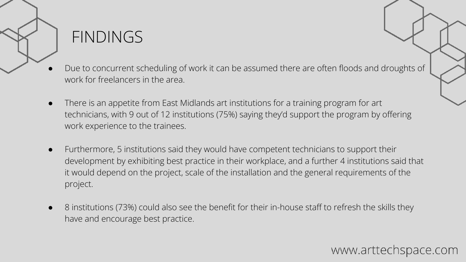### FINDINGS

- Due to concurrent scheduling of work it can be assumed there are often floods and droughts of work for freelancers in the area.
- There is an appetite from East Midlands art institutions for a training program for art technicians, with 9 out of 12 institutions (75%) saying they'd support the program by offering work experience to the trainees.
- Furthermore, 5 institutions said they would have competent technicians to support their development by exhibiting best practice in their workplace, and a further 4 institutions said that it would depend on the project, scale of the installation and the general requirements of the project.
- 8 institutions (73%) could also see the benefit for their in-house staff to refresh the skills they have and encourage best practice.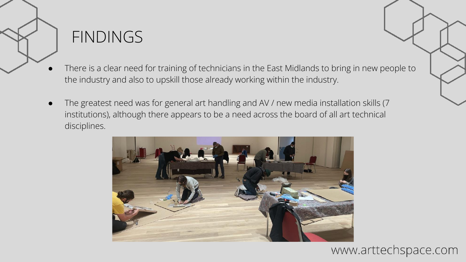

### **FINDINGS**

- There is a clear need for training of technicians in the East Midlands to bring in new people to the industry and also to upskill those already working within the industry.
- The greatest need was for general art handling and AV / new media installation skills (7 institutions), although there appears to be a need across the board of all art technical disciplines.